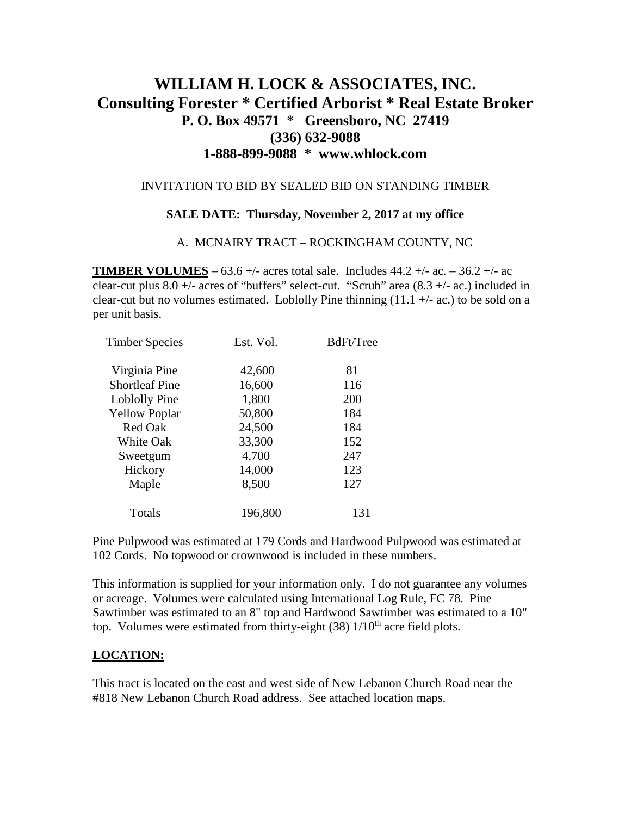# **WILLIAM H. LOCK & ASSOCIATES, INC. Consulting Forester \* Certified Arborist \* Real Estate Broker P. O. Box 49571 \* Greensboro, NC 27419 (336) 632-9088 1-888-899-9088 \* www.whlock.com**

### INVITATION TO BID BY SEALED BID ON STANDING TIMBER

#### **SALE DATE: Thursday, November 2, 2017 at my office**

#### A. MCNAIRY TRACT – ROCKINGHAM COUNTY, NC

**TIMBER VOLUMES** – 63.6 +/- acres total sale. Includes  $44.2 +$ /- ac. – 36.2 +/- ac clear-cut plus  $8.0 +$ /- acres of "buffers" select-cut. "Scrub" area  $(8.3 +$ /- ac.) included in clear-cut but no volumes estimated. Loblolly Pine thinning  $(11.1 +/- \alpha c)$  to be sold on a per unit basis.

| <b>Timber Species</b> | Est. Vol. | BdFt/Tree |
|-----------------------|-----------|-----------|
| Virginia Pine         | 42,600    | 81        |
| <b>Shortleaf Pine</b> | 16,600    | 116       |
| Loblolly Pine         | 1,800     | 200       |
| <b>Yellow Poplar</b>  | 50,800    | 184       |
| <b>Red Oak</b>        | 24,500    | 184       |
| White Oak             | 33,300    | 152       |
| Sweetgum              | 4,700     | 247       |
| Hickory               | 14,000    | 123       |
| Maple                 | 8,500     | 127       |
| Totals                | 196,800   | 131       |
|                       |           |           |

Pine Pulpwood was estimated at 179 Cords and Hardwood Pulpwood was estimated at 102 Cords. No topwood or crownwood is included in these numbers.

This information is supplied for your information only. I do not guarantee any volumes or acreage. Volumes were calculated using International Log Rule, FC 78. Pine Sawtimber was estimated to an 8" top and Hardwood Sawtimber was estimated to a 10" top. Volumes were estimated from thirty-eight  $(38)$  1/10<sup>th</sup> acre field plots.

### **LOCATION:**

This tract is located on the east and west side of New Lebanon Church Road near the #818 New Lebanon Church Road address. See attached location maps.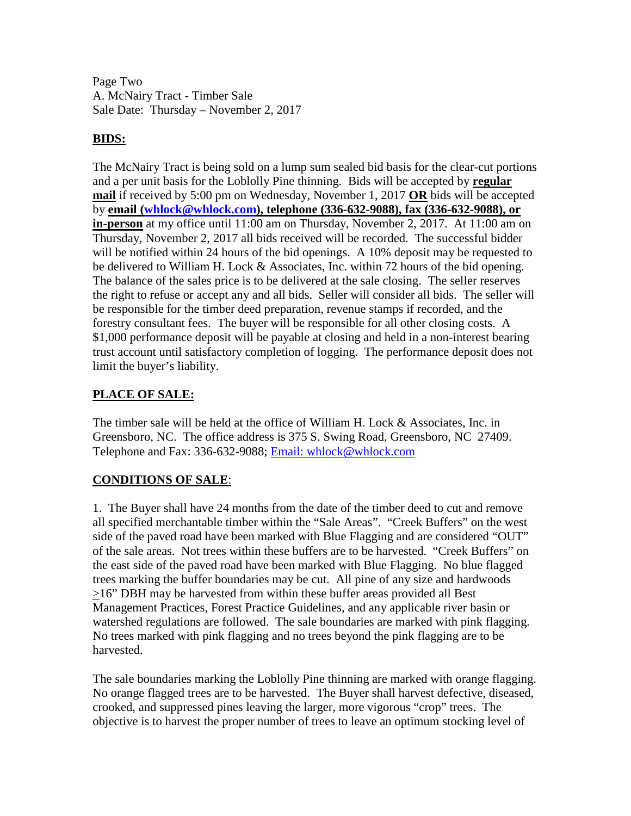Page Two A. McNairy Tract - Timber Sale Sale Date: Thursday – November 2, 2017

### **BIDS:**

The McNairy Tract is being sold on a lump sum sealed bid basis for the clear-cut portions and a per unit basis for the Loblolly Pine thinning. Bids will be accepted by **regular mail** if received by 5:00 pm on Wednesday, November 1, 2017 **OR** bids will be accepted by **email [\(whlock@whlock.com\)](mailto:whlock@whlock.com), telephone (336-632-9088), fax (336-632-9088), or in-person** at my office until 11:00 am on Thursday, November 2, 2017. At 11:00 am on Thursday, November 2, 2017 all bids received will be recorded. The successful bidder will be notified within 24 hours of the bid openings. A 10% deposit may be requested to be delivered to William H. Lock & Associates, Inc. within 72 hours of the bid opening. The balance of the sales price is to be delivered at the sale closing. The seller reserves the right to refuse or accept any and all bids. Seller will consider all bids. The seller will be responsible for the timber deed preparation, revenue stamps if recorded, and the forestry consultant fees. The buyer will be responsible for all other closing costs. A \$1,000 performance deposit will be payable at closing and held in a non-interest bearing trust account until satisfactory completion of logging. The performance deposit does not limit the buyer's liability.

## **PLACE OF SALE:**

The timber sale will be held at the office of William H. Lock & Associates, Inc. in Greensboro, NC. The office address is 375 S. Swing Road, Greensboro, NC 27409. Telephone and Fax: 336-632-9088; [Email: whlock@whlock.com](mailto:Email:%20whlock@whlock.com) 

# **CONDITIONS OF SALE**:

1. The Buyer shall have 24 months from the date of the timber deed to cut and remove all specified merchantable timber within the "Sale Areas". "Creek Buffers" on the west side of the paved road have been marked with Blue Flagging and are considered "OUT" of the sale areas. Not trees within these buffers are to be harvested. "Creek Buffers" on the east side of the paved road have been marked with Blue Flagging. No blue flagged trees marking the buffer boundaries may be cut. All pine of any size and hardwoods >16" DBH may be harvested from within these buffer areas provided all Best Management Practices, Forest Practice Guidelines, and any applicable river basin or watershed regulations are followed. The sale boundaries are marked with pink flagging. No trees marked with pink flagging and no trees beyond the pink flagging are to be harvested.

The sale boundaries marking the Loblolly Pine thinning are marked with orange flagging. No orange flagged trees are to be harvested. The Buyer shall harvest defective, diseased, crooked, and suppressed pines leaving the larger, more vigorous "crop" trees. The objective is to harvest the proper number of trees to leave an optimum stocking level of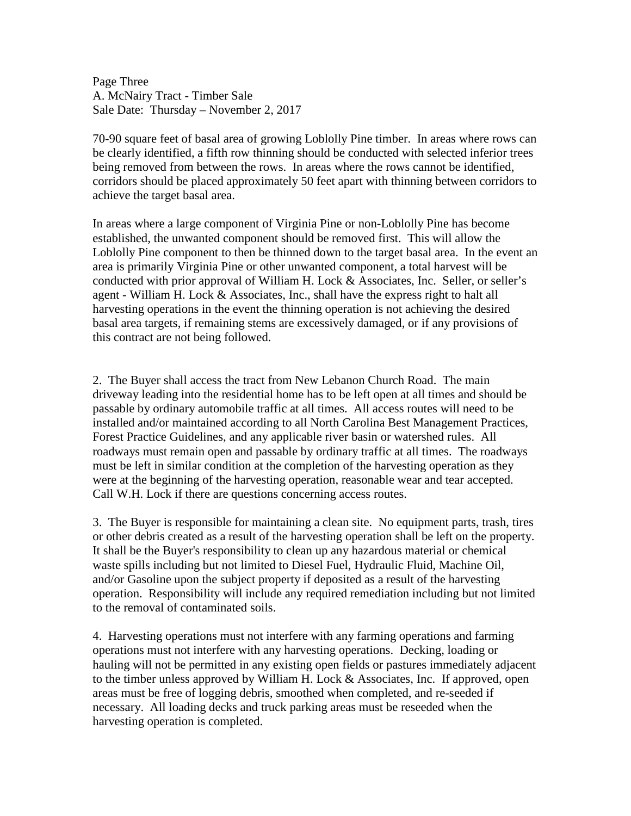Page Three A. McNairy Tract - Timber Sale Sale Date: Thursday – November 2, 2017

70-90 square feet of basal area of growing Loblolly Pine timber. In areas where rows can be clearly identified, a fifth row thinning should be conducted with selected inferior trees being removed from between the rows. In areas where the rows cannot be identified, corridors should be placed approximately 50 feet apart with thinning between corridors to achieve the target basal area.

In areas where a large component of Virginia Pine or non-Loblolly Pine has become established, the unwanted component should be removed first. This will allow the Loblolly Pine component to then be thinned down to the target basal area. In the event an area is primarily Virginia Pine or other unwanted component, a total harvest will be conducted with prior approval of William H. Lock & Associates, Inc. Seller, or seller's agent - William H. Lock & Associates, Inc., shall have the express right to halt all harvesting operations in the event the thinning operation is not achieving the desired basal area targets, if remaining stems are excessively damaged, or if any provisions of this contract are not being followed.

2. The Buyer shall access the tract from New Lebanon Church Road. The main driveway leading into the residential home has to be left open at all times and should be passable by ordinary automobile traffic at all times. All access routes will need to be installed and/or maintained according to all North Carolina Best Management Practices, Forest Practice Guidelines, and any applicable river basin or watershed rules. All roadways must remain open and passable by ordinary traffic at all times. The roadways must be left in similar condition at the completion of the harvesting operation as they were at the beginning of the harvesting operation, reasonable wear and tear accepted. Call W.H. Lock if there are questions concerning access routes.

3. The Buyer is responsible for maintaining a clean site. No equipment parts, trash, tires or other debris created as a result of the harvesting operation shall be left on the property. It shall be the Buyer's responsibility to clean up any hazardous material or chemical waste spills including but not limited to Diesel Fuel, Hydraulic Fluid, Machine Oil, and/or Gasoline upon the subject property if deposited as a result of the harvesting operation. Responsibility will include any required remediation including but not limited to the removal of contaminated soils.

4. Harvesting operations must not interfere with any farming operations and farming operations must not interfere with any harvesting operations. Decking, loading or hauling will not be permitted in any existing open fields or pastures immediately adjacent to the timber unless approved by William H. Lock & Associates, Inc. If approved, open areas must be free of logging debris, smoothed when completed, and re-seeded if necessary. All loading decks and truck parking areas must be reseeded when the harvesting operation is completed.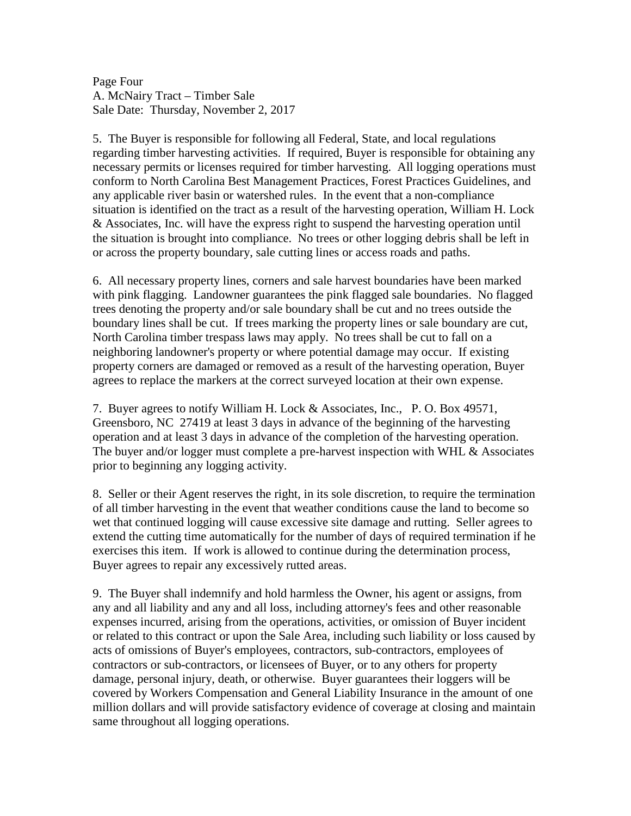Page Four A. McNairy Tract – Timber Sale Sale Date: Thursday, November 2, 2017

5. The Buyer is responsible for following all Federal, State, and local regulations regarding timber harvesting activities. If required, Buyer is responsible for obtaining any necessary permits or licenses required for timber harvesting. All logging operations must conform to North Carolina Best Management Practices, Forest Practices Guidelines, and any applicable river basin or watershed rules. In the event that a non-compliance situation is identified on the tract as a result of the harvesting operation, William H. Lock & Associates, Inc. will have the express right to suspend the harvesting operation until the situation is brought into compliance. No trees or other logging debris shall be left in or across the property boundary, sale cutting lines or access roads and paths.

6. All necessary property lines, corners and sale harvest boundaries have been marked with pink flagging. Landowner guarantees the pink flagged sale boundaries. No flagged trees denoting the property and/or sale boundary shall be cut and no trees outside the boundary lines shall be cut. If trees marking the property lines or sale boundary are cut, North Carolina timber trespass laws may apply. No trees shall be cut to fall on a neighboring landowner's property or where potential damage may occur. If existing property corners are damaged or removed as a result of the harvesting operation, Buyer agrees to replace the markers at the correct surveyed location at their own expense.

7. Buyer agrees to notify William H. Lock & Associates, Inc., P. O. Box 49571, Greensboro, NC 27419 at least 3 days in advance of the beginning of the harvesting operation and at least 3 days in advance of the completion of the harvesting operation. The buyer and/or logger must complete a pre-harvest inspection with WHL & Associates prior to beginning any logging activity.

8. Seller or their Agent reserves the right, in its sole discretion, to require the termination of all timber harvesting in the event that weather conditions cause the land to become so wet that continued logging will cause excessive site damage and rutting. Seller agrees to extend the cutting time automatically for the number of days of required termination if he exercises this item. If work is allowed to continue during the determination process, Buyer agrees to repair any excessively rutted areas.

9. The Buyer shall indemnify and hold harmless the Owner, his agent or assigns, from any and all liability and any and all loss, including attorney's fees and other reasonable expenses incurred, arising from the operations, activities, or omission of Buyer incident or related to this contract or upon the Sale Area, including such liability or loss caused by acts of omissions of Buyer's employees, contractors, sub-contractors, employees of contractors or sub-contractors, or licensees of Buyer, or to any others for property damage, personal injury, death, or otherwise. Buyer guarantees their loggers will be covered by Workers Compensation and General Liability Insurance in the amount of one million dollars and will provide satisfactory evidence of coverage at closing and maintain same throughout all logging operations.